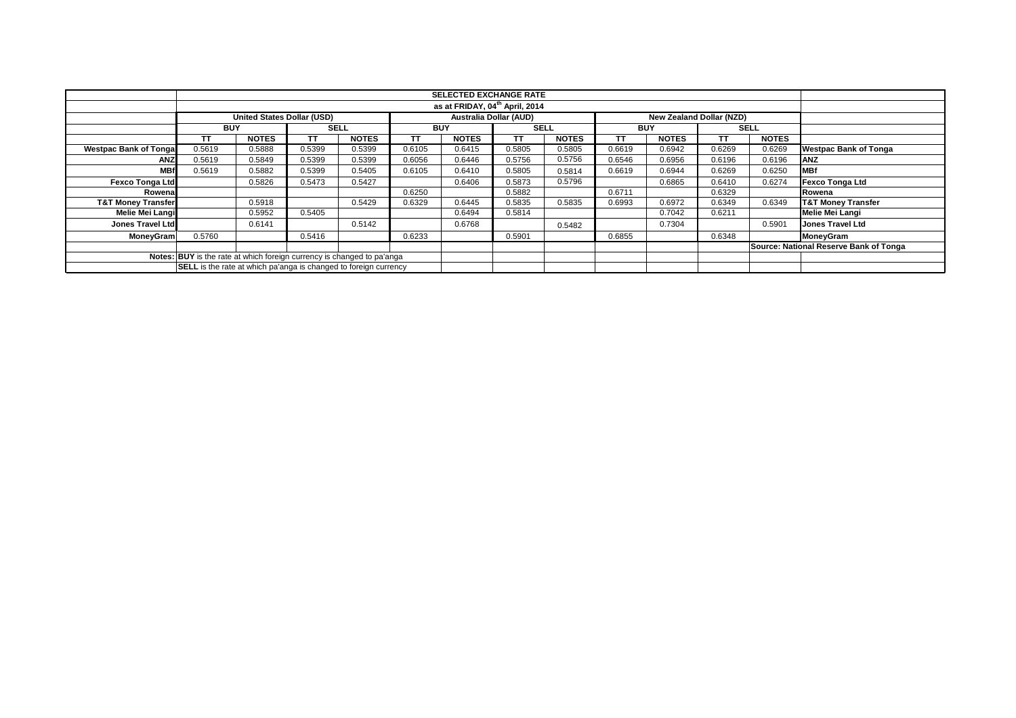|                               |                                                                         |                            |           |              |        |                        | <b>SELECTED EXCHANGE RATE</b> |              |                                        |                          |           |              |                               |
|-------------------------------|-------------------------------------------------------------------------|----------------------------|-----------|--------------|--------|------------------------|-------------------------------|--------------|----------------------------------------|--------------------------|-----------|--------------|-------------------------------|
|                               | as at FRIDAY, 04 <sup>th</sup> April, 2014                              |                            |           |              |        |                        |                               |              |                                        |                          |           |              |                               |
|                               |                                                                         | United States Dollar (USD) |           |              |        | Australia Dollar (AUD) |                               |              |                                        | New Zealand Dollar (NZD) |           |              |                               |
|                               | <b>BUY</b>                                                              |                            |           | <b>SELL</b>  |        | <b>BUY</b>             | <b>SELL</b>                   |              |                                        | <b>BUY</b>               |           | <b>SELL</b>  |                               |
|                               | TT                                                                      | <b>NOTES</b>               | <b>TT</b> | <b>NOTES</b> | TT     | <b>NOTES</b>           | TΤ                            | <b>NOTES</b> | тт                                     | <b>NOTES</b>             | <b>TT</b> | <b>NOTES</b> |                               |
| <b>Westpac Bank of Tongal</b> | 0.5619                                                                  | 0.5888                     | 0.5399    | 0.5399       | 0.6105 | 0.6415                 | 0.5805                        | 0.5805       | 0.6619                                 | 0.6942                   | 0.6269    | 0.6269       | <b>Westpac Bank of Tonga</b>  |
| <b>ANZ</b>                    | 0.5619                                                                  | 0.5849                     | 0.5399    | 0.5399       | 0.6056 | 0.6446                 | 0.5756                        | 0.5756       | 0.6546                                 | 0.6956                   | 0.6196    | 0.6196       | <b>ANZ</b>                    |
| <b>MBf</b>                    | 0.5619                                                                  | 0.5882                     | 0.5399    | 0.5405       | 0.6105 | 0.6410                 | 0.5805                        | 0.5814       | 0.6619                                 | 0.6944                   | 0.6269    | 0.6250       | <b>MBf</b>                    |
| <b>Fexco Tonga Ltd</b>        |                                                                         | 0.5826                     | 0.5473    | 0.5427       |        | 0.6406                 | 0.5873                        | 0.5796       |                                        | 0.6865                   | 0.6410    | 0.6274       | <b>Fexco Tonga Ltd</b>        |
| Rowenal                       |                                                                         |                            |           |              | 0.6250 |                        | 0.5882                        |              | 0.6711                                 |                          | 0.6329    |              | Rowena                        |
| <b>T&amp;T Money Transfer</b> |                                                                         | 0.5918                     |           | 0.5429       | 0.6329 | 0.6445                 | 0.5835                        | 0.5835       | 0.6993                                 | 0.6972                   | 0.6349    | 0.6349       | <b>T&amp;T Money Transfer</b> |
| <b>Melie Mei Langi</b>        |                                                                         | 0.5952                     | 0.5405    |              |        | 0.6494                 | 0.5814                        |              |                                        | 0.7042                   | 0.6211    |              | <b>Melie Mei Langi</b>        |
| <b>Jones Travel Ltd</b>       |                                                                         | 0.6141                     |           | 0.5142       |        | 0.6768                 |                               | 0.5482       |                                        | 0.7304                   |           | 0.5901       | <b>Jones Travel Ltd</b>       |
| <b>MoneyGram</b>              | 0.5760                                                                  |                            | 0.5416    |              | 0.6233 |                        | 0.5901                        |              | 0.6855                                 |                          | 0.6348    |              | MoneyGram                     |
|                               |                                                                         |                            |           |              |        |                        |                               |              | Source: National Reserve Bank of Tonga |                          |           |              |                               |
|                               | Notes: BUY is the rate at which foreign currency is changed to pa'anga  |                            |           |              |        |                        |                               |              |                                        |                          |           |              |                               |
|                               | <b>SELL</b> is the rate at which pa'anga is changed to foreign currency |                            |           |              |        |                        |                               |              |                                        |                          |           |              |                               |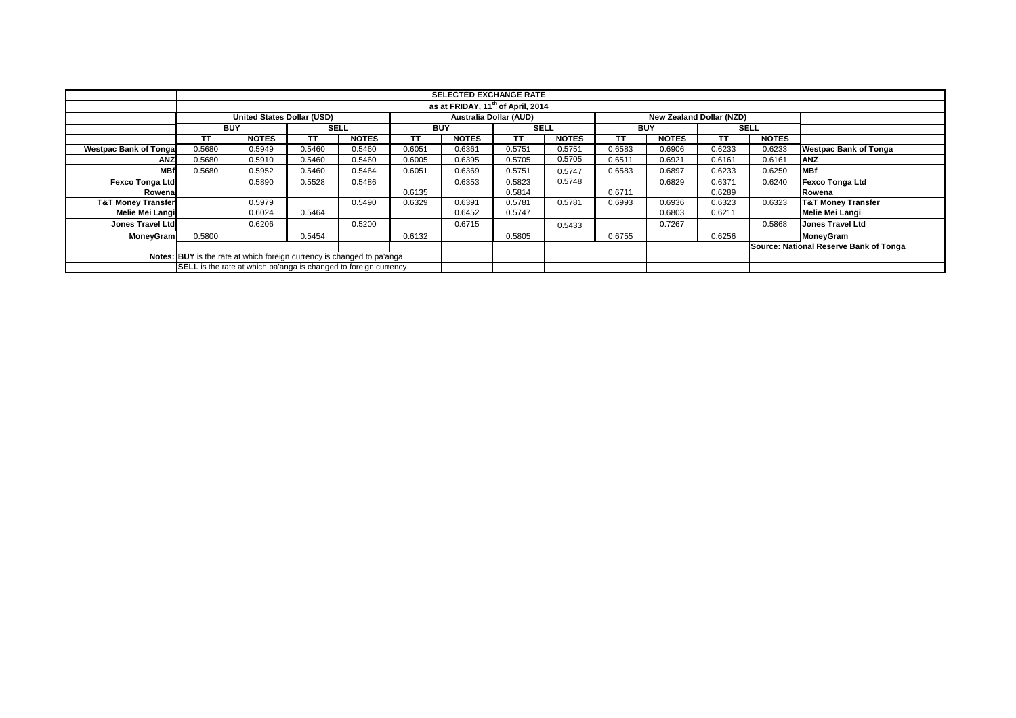|                               |                                                                         |                            |           |              |        | <b>SELECTED EXCHANGE RATE</b> |        |              |                                        |                          |             |              |                               |
|-------------------------------|-------------------------------------------------------------------------|----------------------------|-----------|--------------|--------|-------------------------------|--------|--------------|----------------------------------------|--------------------------|-------------|--------------|-------------------------------|
|                               | as at FRIDAY, 11 <sup>th</sup> of April, 2014                           |                            |           |              |        |                               |        |              |                                        |                          |             |              |                               |
|                               |                                                                         | United States Dollar (USD) |           |              |        | Australia Dollar (AUD)        |        |              |                                        | New Zealand Dollar (NZD) |             |              |                               |
|                               | <b>BUY</b>                                                              | <b>SELL</b>                |           | <b>BUY</b>   |        | <b>SELL</b>                   |        | <b>BUY</b>   |                                        |                          | <b>SELL</b> |              |                               |
|                               | ТT                                                                      | <b>NOTES</b>               | <b>TT</b> | <b>NOTES</b> | ТT     | <b>NOTES</b>                  | TΤ     | <b>NOTES</b> | тт                                     | <b>NOTES</b>             | <b>TT</b>   | <b>NOTES</b> |                               |
| <b>Westpac Bank of Tongal</b> | 0.5680                                                                  | 0.5949                     | 0.5460    | 0.5460       | 0.6051 | 0.6361                        | 0.5751 | 0.5751       | 0.6583                                 | 0.6906                   | 0.6233      | 0.6233       | <b>Westpac Bank of Tonga</b>  |
| <b>ANZ</b>                    | 0.5680                                                                  | 0.5910                     | 0.5460    | 0.5460       | 0.6005 | 0.6395                        | 0.5705 | 0.5705       | 0.6511                                 | 0.6921                   | 0.6161      | 0.6161       | <b>ANZ</b>                    |
| <b>MBf</b>                    | 0.5680                                                                  | 0.5952                     | 0.5460    | 0.5464       | 0.6051 | 0.6369                        | 0.5751 | 0.5747       | 0.6583                                 | 0.6897                   | 0.6233      | 0.6250       | <b>MBf</b>                    |
| <b>Fexco Tonga Ltd</b>        |                                                                         | 0.5890                     | 0.5528    | 0.5486       |        | 0.6353                        | 0.5823 | 0.5748       |                                        | 0.6829                   | 0.6371      | 0.6240       | <b>Fexco Tonga Ltd</b>        |
| Rowenal                       |                                                                         |                            |           |              | 0.6135 |                               | 0.5814 |              | 0.6711                                 |                          | 0.6289      |              | Rowena                        |
| <b>T&amp;T Money Transfer</b> |                                                                         | 0.5979                     |           | 0.5490       | 0.6329 | 0.6391                        | 0.5781 | 0.5781       | 0.6993                                 | 0.6936                   | 0.6323      | 0.6323       | <b>T&amp;T Money Transfer</b> |
| <b>Melie Mei Langi</b>        |                                                                         | 0.6024                     | 0.5464    |              |        | 0.6452                        | 0.5747 |              |                                        | 0.6803                   | 0.6211      |              | <b>Melie Mei Langi</b>        |
| <b>Jones Travel Ltd</b>       |                                                                         | 0.6206                     |           | 0.5200       |        | 0.6715                        |        | 0.5433       |                                        | 0.7267                   |             | 0.5868       | <b>Jones Travel Ltd</b>       |
| <b>MoneyGram</b>              | 0.5800                                                                  |                            | 0.5454    |              | 0.6132 |                               | 0.5805 |              | 0.6755                                 |                          | 0.6256      |              | MoneyGram                     |
|                               |                                                                         |                            |           |              |        |                               |        |              | Source: National Reserve Bank of Tonga |                          |             |              |                               |
|                               | Notes: BUY is the rate at which foreign currency is changed to pa'anga  |                            |           |              |        |                               |        |              |                                        |                          |             |              |                               |
|                               | <b>SELL</b> is the rate at which pa'anga is changed to foreign currency |                            |           |              |        |                               |        |              |                                        |                          |             |              |                               |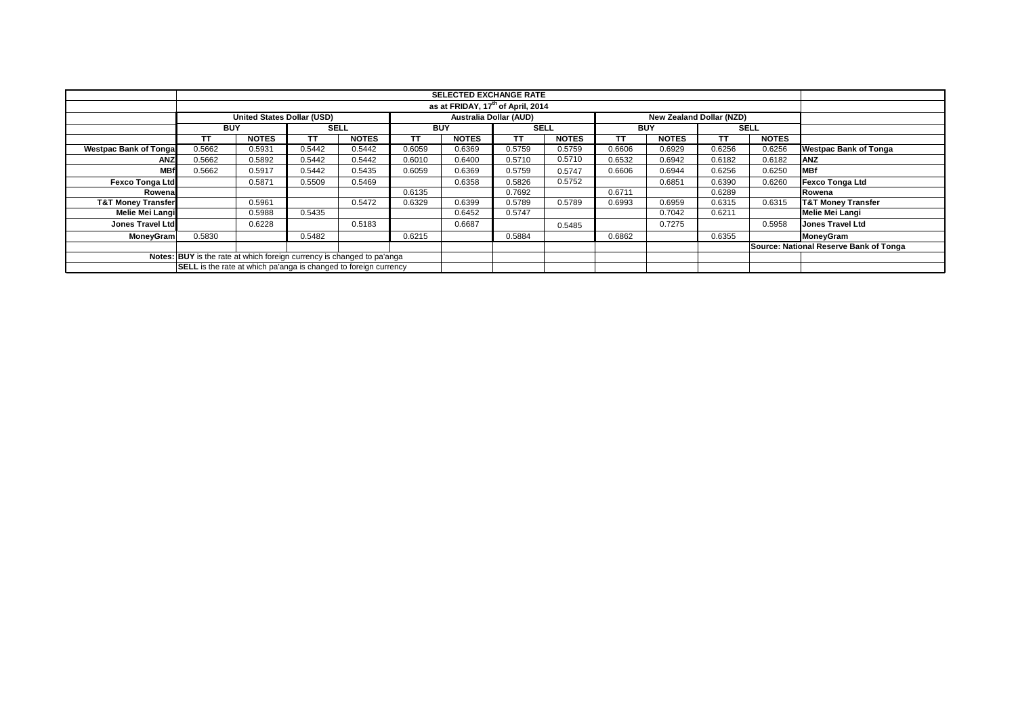|                               |                                                                         |                            |           |              |            |                        | <b>SELECTED EXCHANGE RATE</b> |              |                                        |                          |             |              |                               |
|-------------------------------|-------------------------------------------------------------------------|----------------------------|-----------|--------------|------------|------------------------|-------------------------------|--------------|----------------------------------------|--------------------------|-------------|--------------|-------------------------------|
|                               | as at FRIDAY, 17 <sup>th</sup> of April, 2014                           |                            |           |              |            |                        |                               |              |                                        |                          |             |              |                               |
|                               |                                                                         | United States Dollar (USD) |           |              |            | Australia Dollar (AUD) |                               |              |                                        | New Zealand Dollar (NZD) |             |              |                               |
|                               |                                                                         | <b>SELL</b><br><b>BUY</b>  |           |              | <b>BUY</b> |                        | <b>SELL</b>                   |              | <b>BUY</b>                             |                          | <b>SELL</b> |              |                               |
|                               | ТT                                                                      | <b>NOTES</b>               | <b>TT</b> | <b>NOTES</b> | TΤ         | <b>NOTES</b>           | TΤ                            | <b>NOTES</b> | тт                                     | <b>NOTES</b>             | <b>TT</b>   | <b>NOTES</b> |                               |
| <b>Westpac Bank of Tongal</b> | 0.5662                                                                  | 0.5931                     | 0.5442    | 0.5442       | 0.6059     | 0.6369                 | 0.5759                        | 0.5759       | 0.6606                                 | 0.6929                   | 0.6256      | 0.6256       | <b>Westpac Bank of Tonga</b>  |
| <b>ANZ</b>                    | 0.5662                                                                  | 0.5892                     | 0.5442    | 0.5442       | 0.6010     | 0.6400                 | 0.5710                        | 0.5710       | 0.6532                                 | 0.6942                   | 0.6182      | 0.6182       | <b>ANZ</b>                    |
| <b>MBf</b>                    | 0.5662                                                                  | 0.5917                     | 0.5442    | 0.5435       | 0.6059     | 0.6369                 | 0.5759                        | 0.5747       | 0.6606                                 | 0.6944                   | 0.6256      | 0.6250       | <b>MBf</b>                    |
| <b>Fexco Tonga Ltd</b>        |                                                                         | 0.5871                     | 0.5509    | 0.5469       |            | 0.6358                 | 0.5826                        | 0.5752       |                                        | 0.6851                   | 0.6390      | 0.6260       | <b>Fexco Tonga Ltd</b>        |
| Rowenal                       |                                                                         |                            |           |              | 0.6135     |                        | 0.7692                        |              | 0.6711                                 |                          | 0.6289      |              | Rowena                        |
| <b>T&amp;T Money Transfer</b> |                                                                         | 0.5961                     |           | 0.5472       | 0.6329     | 0.6399                 | 0.5789                        | 0.5789       | 0.6993                                 | 0.6959                   | 0.6315      | 0.6315       | <b>T&amp;T Money Transfer</b> |
| <b>Melie Mei Langi</b>        |                                                                         | 0.5988                     | 0.5435    |              |            | 0.6452                 | 0.5747                        |              |                                        | 0.7042                   | 0.6211      |              | <b>Melie Mei Langi</b>        |
| <b>Jones Travel Ltd</b>       |                                                                         | 0.6228                     |           | 0.5183       |            | 0.6687                 |                               | 0.5485       |                                        | 0.7275                   |             | 0.5958       | <b>Jones Travel Ltd</b>       |
| <b>MoneyGram</b>              | 0.5830                                                                  |                            | 0.5482    |              | 0.6215     |                        | 0.5884                        |              | 0.6862                                 |                          | 0.6355      |              | MoneyGram                     |
|                               |                                                                         |                            |           |              |            |                        |                               |              | Source: National Reserve Bank of Tonga |                          |             |              |                               |
|                               | Notes: BUY is the rate at which foreign currency is changed to pa'anga  |                            |           |              |            |                        |                               |              |                                        |                          |             |              |                               |
|                               | <b>SELL</b> is the rate at which pa'anga is changed to foreign currency |                            |           |              |            |                        |                               |              |                                        |                          |             |              |                               |